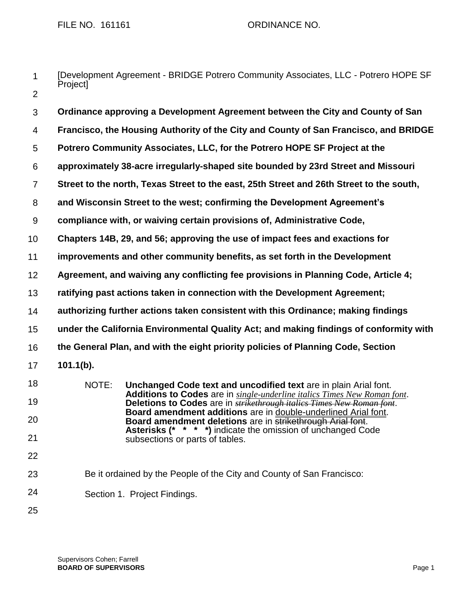- 1 2 [Development Agreement - BRIDGE Potrero Community Associates, LLC - Potrero HOPE SF Project]
- 3 4 5 6 7 8 9 10 11 12 13 14 15 16 17 18 19 20 21 22 **Ordinance approving a Development Agreement between the City and County of San Francisco, the Housing Authority of the City and County of San Francisco, and BRIDGE Potrero Community Associates, LLC, for the Potrero HOPE SF Project at the approximately 38-acre irregularly-shaped site bounded by 23rd Street and Missouri Street to the north, Texas Street to the east, 25th Street and 26th Street to the south, and Wisconsin Street to the west; confirming the Development Agreement's compliance with, or waiving certain provisions of, Administrative Code, Chapters 14B, 29, and 56; approving the use of impact fees and exactions for improvements and other community benefits, as set forth in the Development Agreement, and waiving any conflicting fee provisions in Planning Code, Article 4; ratifying past actions taken in connection with the Development Agreement; authorizing further actions taken consistent with this Ordinance; making findings under the California Environmental Quality Act; and making findings of conformity with the General Plan, and with the eight priority policies of Planning Code, Section 101.1(b).** NOTE: **Unchanged Code text and uncodified text** are in plain Arial font. **Additions to Codes** are in *single-underline italics Times New Roman font*. **Deletions to Codes** are in *strikethrough italics Times New Roman font*. **Board amendment additions** are in double-underlined Arial font. **Board amendment deletions** are in strikethrough Arial font. **Asterisks (\* \* \* \*)** indicate the omission of unchanged Code subsections or parts of tables.
- 23 Be it ordained by the People of the City and County of San Francisco:
- 24 Section 1. Project Findings.
- 25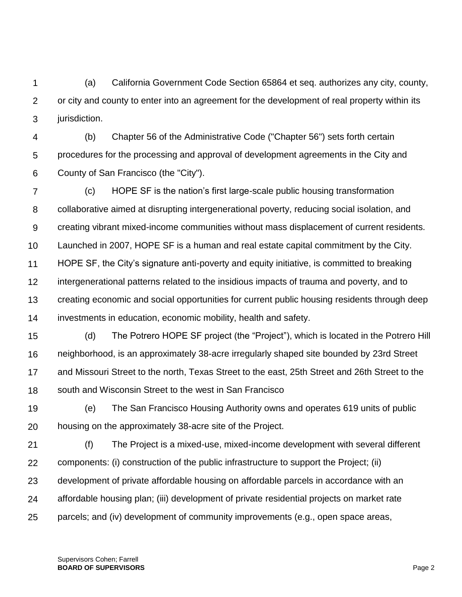1  $\mathcal{P}$ 3 (a) California Government Code Section 65864 et seq. authorizes any city, county, or city and county to enter into an agreement for the development of real property within its jurisdiction.

4 5 6 (b) Chapter 56 of the Administrative Code ("Chapter 56") sets forth certain procedures for the processing and approval of development agreements in the City and County of San Francisco (the "City").

7 8 9 10 11 12 13 14 (c) HOPE SF is the nation's first large-scale public housing transformation collaborative aimed at disrupting intergenerational poverty, reducing social isolation, and creating vibrant mixed-income communities without mass displacement of current residents. Launched in 2007, HOPE SF is a human and real estate capital commitment by the City. HOPE SF, the City's signature anti-poverty and equity initiative, is committed to breaking intergenerational patterns related to the insidious impacts of trauma and poverty, and to creating economic and social opportunities for current public housing residents through deep investments in education, economic mobility, health and safety.

15 16 17 18 (d) The Potrero HOPE SF project (the "Project"), which is located in the Potrero Hill neighborhood, is an approximately 38-acre irregularly shaped site bounded by 23rd Street and Missouri Street to the north, Texas Street to the east, 25th Street and 26th Street to the south and Wisconsin Street to the west in San Francisco

19 20 (e) The San Francisco Housing Authority owns and operates 619 units of public housing on the approximately 38-acre site of the Project.

21 22 23 24 25 (f) The Project is a mixed-use, mixed-income development with several different components: (i) construction of the public infrastructure to support the Project; (ii) development of private affordable housing on affordable parcels in accordance with an affordable housing plan; (iii) development of private residential projects on market rate parcels; and (iv) development of community improvements (e.g., open space areas,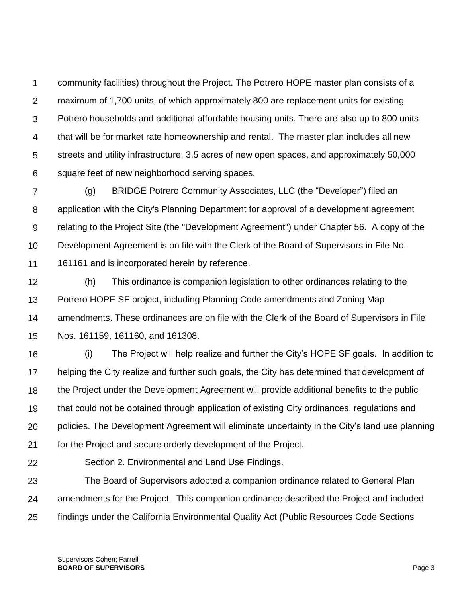1  $\mathcal{P}$ 3 4 5 6 community facilities) throughout the Project. The Potrero HOPE master plan consists of a maximum of 1,700 units, of which approximately 800 are replacement units for existing Potrero households and additional affordable housing units. There are also up to 800 units that will be for market rate homeownership and rental. The master plan includes all new streets and utility infrastructure, 3.5 acres of new open spaces, and approximately 50,000 square feet of new neighborhood serving spaces.

7 8 9 10 11 (g) BRIDGE Potrero Community Associates, LLC (the "Developer") filed an application with the City's Planning Department for approval of a development agreement relating to the Project Site (the "Development Agreement") under Chapter 56. A copy of the Development Agreement is on file with the Clerk of the Board of Supervisors in File No. 161161 and is incorporated herein by reference.

12 13 14 15 (h) This ordinance is companion legislation to other ordinances relating to the Potrero HOPE SF project, including Planning Code amendments and Zoning Map amendments. These ordinances are on file with the Clerk of the Board of Supervisors in File Nos. 161159, 161160, and 161308.

16 17 18 19 20 21 (i) The Project will help realize and further the City's HOPE SF goals. In addition to helping the City realize and further such goals, the City has determined that development of the Project under the Development Agreement will provide additional benefits to the public that could not be obtained through application of existing City ordinances, regulations and policies. The Development Agreement will eliminate uncertainty in the City's land use planning for the Project and secure orderly development of the Project.

22

Section 2. Environmental and Land Use Findings.

23 24 25 The Board of Supervisors adopted a companion ordinance related to General Plan amendments for the Project. This companion ordinance described the Project and included findings under the California Environmental Quality Act (Public Resources Code Sections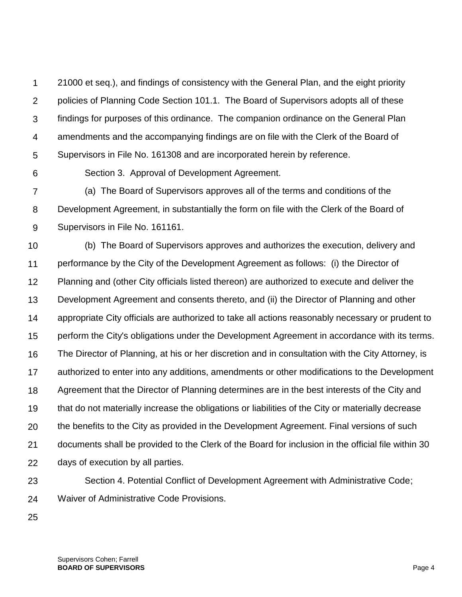1  $\mathcal{P}$ 3 4 5 21000 et seq.), and findings of consistency with the General Plan, and the eight priority policies of Planning Code Section 101.1. The Board of Supervisors adopts all of these findings for purposes of this ordinance. The companion ordinance on the General Plan amendments and the accompanying findings are on file with the Clerk of the Board of Supervisors in File No. 161308 and are incorporated herein by reference.

6

Section 3. Approval of Development Agreement.

7 8 9 (a) The Board of Supervisors approves all of the terms and conditions of the Development Agreement, in substantially the form on file with the Clerk of the Board of Supervisors in File No. 161161.

10 11 12 13 14 15 16 17 18 19 20 21 22 (b) The Board of Supervisors approves and authorizes the execution, delivery and performance by the City of the Development Agreement as follows: (i) the Director of Planning and (other City officials listed thereon) are authorized to execute and deliver the Development Agreement and consents thereto, and (ii) the Director of Planning and other appropriate City officials are authorized to take all actions reasonably necessary or prudent to perform the City's obligations under the Development Agreement in accordance with its terms. The Director of Planning, at his or her discretion and in consultation with the City Attorney, is authorized to enter into any additions, amendments or other modifications to the Development Agreement that the Director of Planning determines are in the best interests of the City and that do not materially increase the obligations or liabilities of the City or materially decrease the benefits to the City as provided in the Development Agreement. Final versions of such documents shall be provided to the Clerk of the Board for inclusion in the official file within 30 days of execution by all parties.

23

Section 4. Potential Conflict of Development Agreement with Administrative Code; Waiver of Administrative Code Provisions.

25

24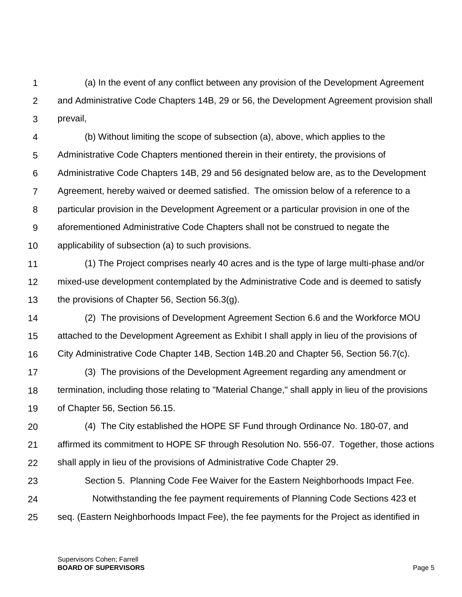1  $\mathcal{P}$ 3 (a) In the event of any conflict between any provision of the Development Agreement and Administrative Code Chapters 14B, 29 or 56, the Development Agreement provision shall prevail,

4 5 6 7 8 9 10 (b) Without limiting the scope of subsection (a), above, which applies to the Administrative Code Chapters mentioned therein in their entirety, the provisions of Administrative Code Chapters 14B, 29 and 56 designated below are, as to the Development Agreement, hereby waived or deemed satisfied. The omission below of a reference to a particular provision in the Development Agreement or a particular provision in one of the aforementioned Administrative Code Chapters shall not be construed to negate the applicability of subsection (a) to such provisions.

- 11 12 13 (1) The Project comprises nearly 40 acres and is the type of large multi-phase and/or mixed-use development contemplated by the Administrative Code and is deemed to satisfy the provisions of Chapter 56, Section 56.3(g).
- 14 15 16 (2) The provisions of Development Agreement Section 6.6 and the Workforce MOU attached to the Development Agreement as Exhibit I shall apply in lieu of the provisions of City Administrative Code Chapter 14B, Section 14B.20 and Chapter 56, Section 56.7(c).
- 17 18 19 (3) The provisions of the Development Agreement regarding any amendment or termination, including those relating to "Material Change," shall apply in lieu of the provisions of Chapter 56, Section 56.15.
- 20 21 22 (4) The City established the HOPE SF Fund through Ordinance No. 180-07, and affirmed its commitment to HOPE SF through Resolution No. 556-07. Together, those actions shall apply in lieu of the provisions of Administrative Code Chapter 29.
- 23 24 25 Section 5. Planning Code Fee Waiver for the Eastern Neighborhoods Impact Fee. Notwithstanding the fee payment requirements of Planning Code Sections 423 et seq. (Eastern Neighborhoods Impact Fee), the fee payments for the Project as identified in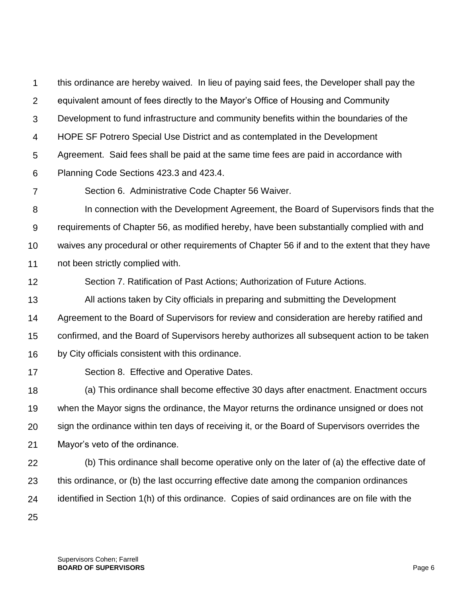1  $\mathcal{P}$ 3 4 5 6 this ordinance are hereby waived. In lieu of paying said fees, the Developer shall pay the equivalent amount of fees directly to the Mayor's Office of Housing and Community Development to fund infrastructure and community benefits within the boundaries of the HOPE SF Potrero Special Use District and as contemplated in the Development Agreement. Said fees shall be paid at the same time fees are paid in accordance with Planning Code Sections 423.3 and 423.4.

7 Section 6. Administrative Code Chapter 56 Waiver.

8 9 10 11 In connection with the Development Agreement, the Board of Supervisors finds that the requirements of Chapter 56, as modified hereby, have been substantially complied with and waives any procedural or other requirements of Chapter 56 if and to the extent that they have not been strictly complied with.

12 Section 7. Ratification of Past Actions; Authorization of Future Actions.

13 14 15 16 All actions taken by City officials in preparing and submitting the Development Agreement to the Board of Supervisors for review and consideration are hereby ratified and confirmed, and the Board of Supervisors hereby authorizes all subsequent action to be taken by City officials consistent with this ordinance.

17

Section 8. Effective and Operative Dates.

18 19 20 21 (a) This ordinance shall become effective 30 days after enactment. Enactment occurs when the Mayor signs the ordinance, the Mayor returns the ordinance unsigned or does not sign the ordinance within ten days of receiving it, or the Board of Supervisors overrides the Mayor's veto of the ordinance.

- 22 23 24 (b) This ordinance shall become operative only on the later of (a) the effective date of this ordinance, or (b) the last occurring effective date among the companion ordinances identified in Section 1(h) of this ordinance. Copies of said ordinances are on file with the
- 25